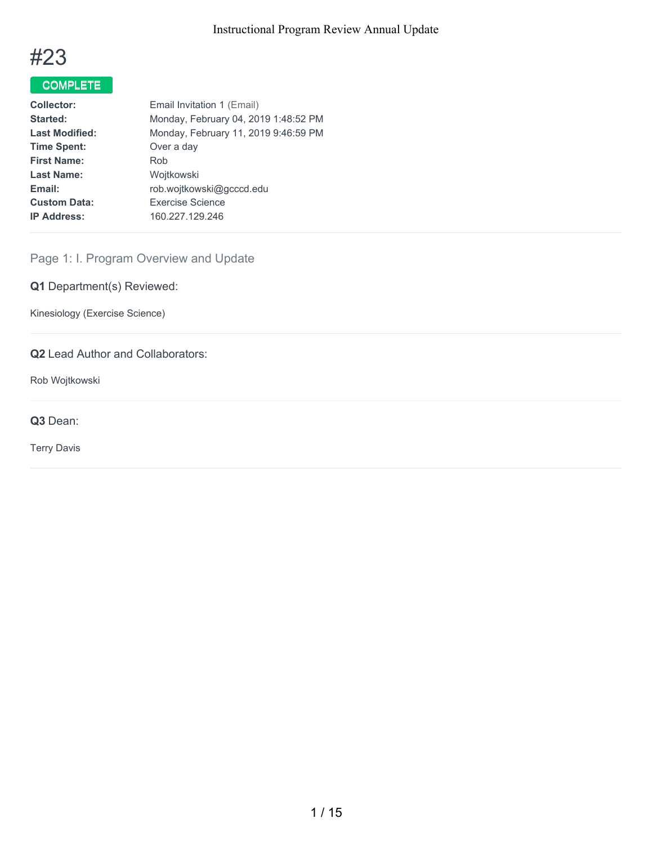

# COMPLETE

| Email Invitation 1 (Email)           |
|--------------------------------------|
| Monday, February 04, 2019 1:48:52 PM |
| Monday, February 11, 2019 9:46:59 PM |
| Over a day                           |
| Rob                                  |
| Wojtkowski                           |
| rob.wojtkowski@gcccd.edu             |
| Exercise Science                     |
| 160.227.129.246                      |
|                                      |

## Page 1: I. Program Overview and Update

**Q1** Department(s) Reviewed:

Kinesiology (Exercise Science)

## **Q2** Lead Author and Collaborators:

Rob Wojtkowski

**Q3** Dean:

Terry Davis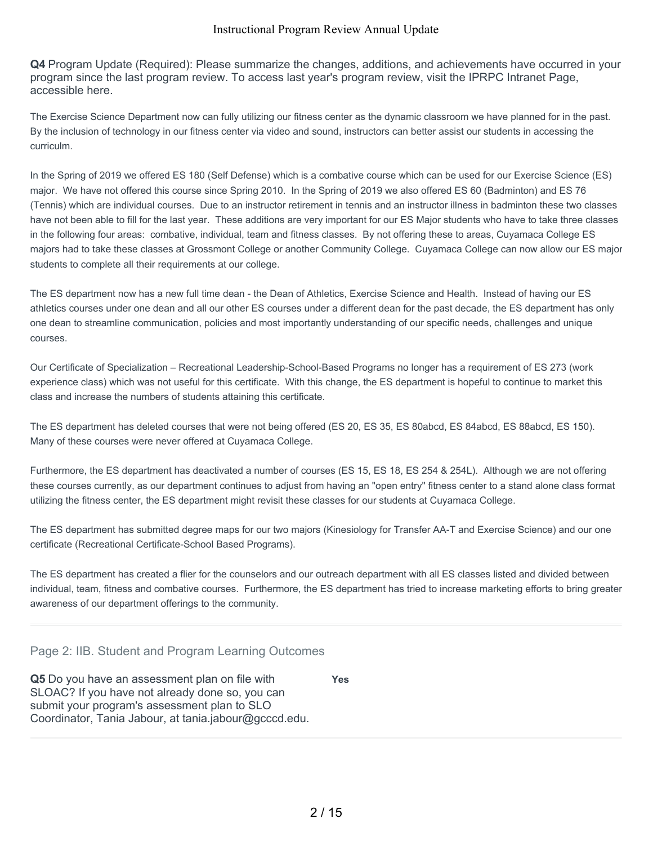**Q4** Program Update (Required): Please summarize the changes, additions, and achievements have occurred in your program since the last program review. To access last year's program review, visit the IPRPC Intranet Page, accessible here.

The Exercise Science Department now can fully utilizing our fitness center as the dynamic classroom we have planned for in the past. By the inclusion of technology in our fitness center via video and sound, instructors can better assist our students in accessing the curriculm.

In the Spring of 2019 we offered ES 180 (Self Defense) which is a combative course which can be used for our Exercise Science (ES) major. We have not offered this course since Spring 2010. In the Spring of 2019 we also offered ES 60 (Badminton) and ES 76 (Tennis) which are individual courses. Due to an instructor retirement in tennis and an instructor illness in badminton these two classes have not been able to fill for the last year. These additions are very important for our ES Major students who have to take three classes in the following four areas: combative, individual, team and fitness classes. By not offering these to areas, Cuyamaca College ES majors had to take these classes at Grossmont College or another Community College. Cuyamaca College can now allow our ES major students to complete all their requirements at our college.

The ES department now has a new full time dean - the Dean of Athletics, Exercise Science and Health. Instead of having our ES athletics courses under one dean and all our other ES courses under a different dean for the past decade, the ES department has only one dean to streamline communication, policies and most importantly understanding of our specific needs, challenges and unique courses.

Our Certificate of Specialization – Recreational Leadership-School-Based Programs no longer has a requirement of ES 273 (work experience class) which was not useful for this certificate. With this change, the ES department is hopeful to continue to market this class and increase the numbers of students attaining this certificate.

The ES department has deleted courses that were not being offered (ES 20, ES 35, ES 80abcd, ES 84abcd, ES 88abcd, ES 150). Many of these courses were never offered at Cuyamaca College.

Furthermore, the ES department has deactivated a number of courses (ES 15, ES 18, ES 254 & 254L). Although we are not offering these courses currently, as our department continues to adjust from having an "open entry" fitness center to a stand alone class format utilizing the fitness center, the ES department might revisit these classes for our students at Cuyamaca College.

The ES department has submitted degree maps for our two majors (Kinesiology for Transfer AA-T and Exercise Science) and our one certificate (Recreational Certificate-School Based Programs).

The ES department has created a flier for the counselors and our outreach department with all ES classes listed and divided between individual, team, fitness and combative courses. Furthermore, the ES department has tried to increase marketing efforts to bring greater awareness of our department offerings to the community.

## Page 2: IIB. Student and Program Learning Outcomes

**Q5** Do you have an assessment plan on file with SLOAC? If you have not already done so, you can submit your program's assessment plan to SLO Coordinator, Tania Jabour, at tania.jabour@gcccd.edu. **Yes**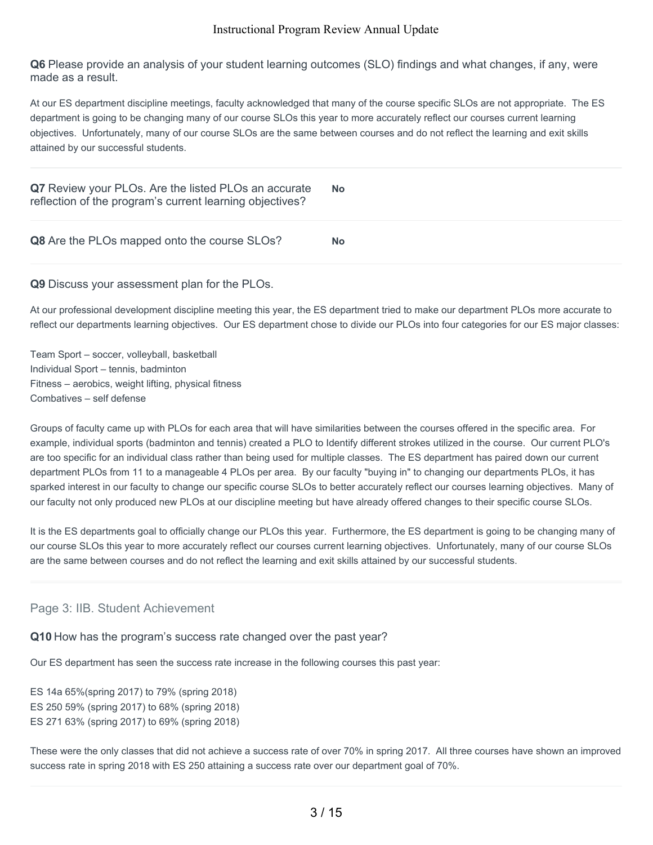**Q6** Please provide an analysis of your student learning outcomes (SLO) findings and what changes, if any, were made as a result.

At our ES department discipline meetings, faculty acknowledged that many of the course specific SLOs are not appropriate. The ES department is going to be changing many of our course SLOs this year to more accurately reflect our courses current learning objectives. Unfortunately, many of our course SLOs are the same between courses and do not reflect the learning and exit skills attained by our successful students.

| Q7 Review your PLOs. Are the listed PLOs an accurate<br>reflection of the program's current learning objectives? | <b>No</b> |
|------------------------------------------------------------------------------------------------------------------|-----------|
| Q8 Are the PLOs mapped onto the course SLOs?                                                                     | <b>No</b> |

#### **Q9** Discuss your assessment plan for the PLOs.

At our professional development discipline meeting this year, the ES department tried to make our department PLOs more accurate to reflect our departments learning objectives. Our ES department chose to divide our PLOs into four categories for our ES major classes:

Team Sport – soccer, volleyball, basketball Individual Sport – tennis, badminton Fitness – aerobics, weight lifting, physical fitness Combatives – self defense

Groups of faculty came up with PLOs for each area that will have similarities between the courses offered in the specific area. For example, individual sports (badminton and tennis) created a PLO to Identify different strokes utilized in the course. Our current PLO's are too specific for an individual class rather than being used for multiple classes. The ES department has paired down our current department PLOs from 11 to a manageable 4 PLOs per area. By our faculty "buying in" to changing our departments PLOs, it has sparked interest in our faculty to change our specific course SLOs to better accurately reflect our courses learning objectives. Many of our faculty not only produced new PLOs at our discipline meeting but have already offered changes to their specific course SLOs.

It is the ES departments goal to officially change our PLOs this year. Furthermore, the ES department is going to be changing many of our course SLOs this year to more accurately reflect our courses current learning objectives. Unfortunately, many of our course SLOs are the same between courses and do not reflect the learning and exit skills attained by our successful students.

## Page 3: IIB. Student Achievement

**Q10** How has the program's success rate changed over the past year?

Our ES department has seen the success rate increase in the following courses this past year:

ES 14a 65%(spring 2017) to 79% (spring 2018) ES 250 59% (spring 2017) to 68% (spring 2018) ES 271 63% (spring 2017) to 69% (spring 2018)

These were the only classes that did not achieve a success rate of over 70% in spring 2017. All three courses have shown an improved success rate in spring 2018 with ES 250 attaining a success rate over our department goal of 70%.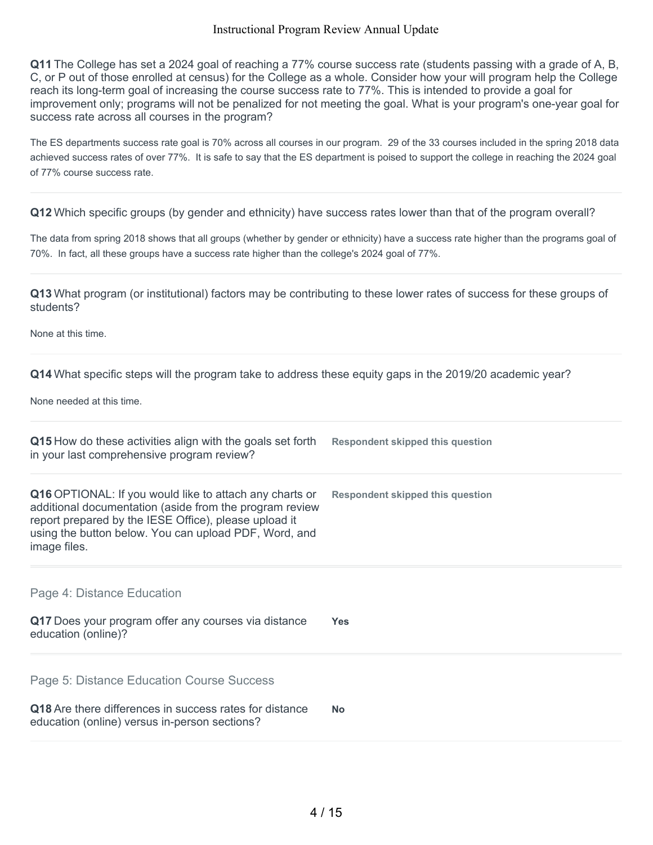**Q11** The College has set a 2024 goal of reaching a 77% course success rate (students passing with a grade of A, B, C, or P out of those enrolled at census) for the College as a whole. Consider how your will program help the College reach its long-term goal of increasing the course success rate to 77%. This is intended to provide a goal for improvement only; programs will not be penalized for not meeting the goal. What is your program's one-year goal for success rate across all courses in the program?

The ES departments success rate goal is 70% across all courses in our program. 29 of the 33 courses included in the spring 2018 data achieved success rates of over 77%. It is safe to say that the ES department is poised to support the college in reaching the 2024 goal of 77% course success rate.

**Q12** Which specific groups (by gender and ethnicity) have success rates lower than that of the program overall?

The data from spring 2018 shows that all groups (whether by gender or ethnicity) have a success rate higher than the programs goal of 70%. In fact, all these groups have a success rate higher than the college's 2024 goal of 77%.

**Q13** What program (or institutional) factors may be contributing to these lower rates of success for these groups of students?

None at this time.

**Q14** What specific steps will the program take to address these equity gaps in the 2019/20 academic year?

None needed at this time.

| Q15 How do these activities align with the goals set forth<br>in your last comprehensive program review?                                                                                                                                                    | <b>Respondent skipped this question</b> |
|-------------------------------------------------------------------------------------------------------------------------------------------------------------------------------------------------------------------------------------------------------------|-----------------------------------------|
| <b>Q16</b> OPTIONAL: If you would like to attach any charts or<br>additional documentation (aside from the program review<br>report prepared by the IESE Office), please upload it<br>using the button below. You can upload PDF, Word, and<br>image files. | Respondent skipped this question        |
| Page 4: Distance Education<br>Q17 Does your program offer any courses via distance<br>education (online)?                                                                                                                                                   | <b>Yes</b>                              |
| Page 5: Distance Education Course Success                                                                                                                                                                                                                   |                                         |
| Q18 Are there differences in success rates for distance<br>education (online) versus in-person sections?                                                                                                                                                    | <b>No</b>                               |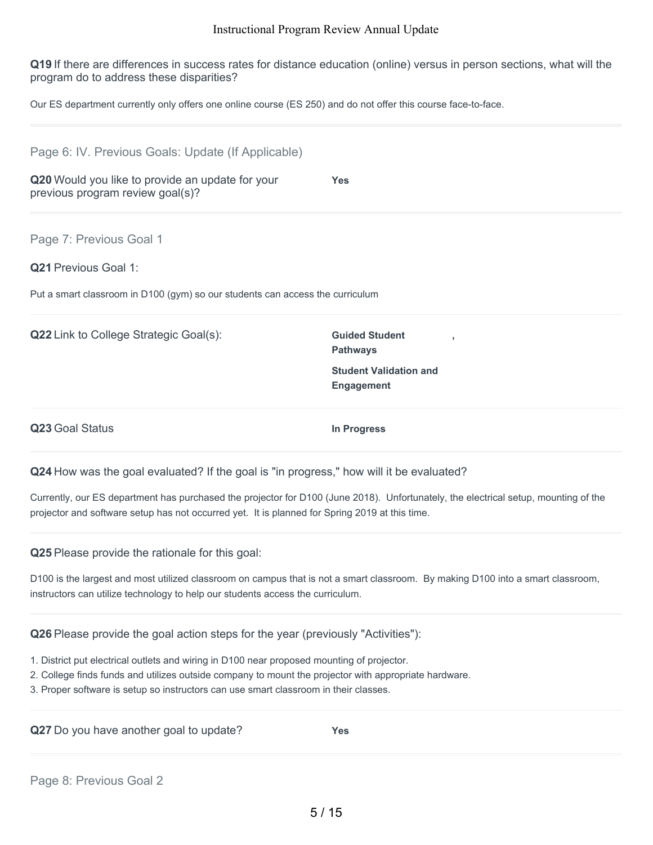**Q19** If there are differences in success rates for distance education (online) versus in person sections, what will the program do to address these disparities?

Our ES department currently only offers one online course (ES 250) and do not offer this course face-to-face.

| Page 6: IV. Previous Goals: Update (If Applicable)                                   |                                                    |  |
|--------------------------------------------------------------------------------------|----------------------------------------------------|--|
| Q20 Would you like to provide an update for your<br>previous program review goal(s)? | <b>Yes</b>                                         |  |
| Page 7: Previous Goal 1                                                              |                                                    |  |
| Q21 Previous Goal 1:                                                                 |                                                    |  |
| Put a smart classroom in D100 (gym) so our students can access the curriculum        |                                                    |  |
| Q22 Link to College Strategic Goal(s):                                               | <b>Guided Student</b><br><b>Pathways</b>           |  |
|                                                                                      | <b>Student Validation and</b><br><b>Engagement</b> |  |
|                                                                                      | In Progress                                        |  |

**Q24** How was the goal evaluated? If the goal is "in progress," how will it be evaluated?

Currently, our ES department has purchased the projector for D100 (June 2018). Unfortunately, the electrical setup, mounting of the projector and software setup has not occurred yet. It is planned for Spring 2019 at this time.

**Q25** Please provide the rationale for this goal:

D100 is the largest and most utilized classroom on campus that is not a smart classroom. By making D100 into a smart classroom, instructors can utilize technology to help our students access the curriculum.

**Q26** Please provide the goal action steps for the year (previously "Activities"):

- 1. District put electrical outlets and wiring in D100 near proposed mounting of projector.
- 2. College finds funds and utilizes outside company to mount the projector with appropriate hardware.
- 3. Proper software is setup so instructors can use smart classroom in their classes.

**Q27** Do you have another goal to update? **Yes**

Page 8: Previous Goal 2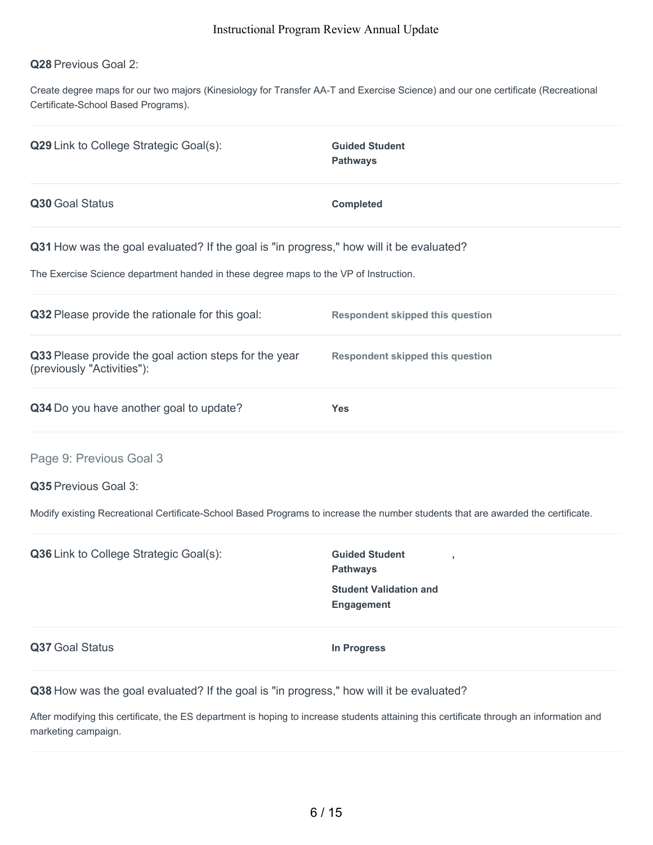#### **Q28** Previous Goal 2:

Create degree maps for our two majors (Kinesiology for Transfer AA-T and Exercise Science) and our one certificate (Recreational Certificate-School Based Programs).

| Q29 Link to College Strategic Goal(s):                                                                                                                                           | <b>Guided Student</b><br><b>Pathways</b> |
|----------------------------------------------------------------------------------------------------------------------------------------------------------------------------------|------------------------------------------|
| Q30 Goal Status                                                                                                                                                                  | <b>Completed</b>                         |
| Q31 How was the goal evaluated? If the goal is "in progress," how will it be evaluated?<br>The Exercise Science department handed in these degree maps to the VP of Instruction. |                                          |
| Q32 Please provide the rationale for this goal:                                                                                                                                  | <b>Respondent skipped this question</b>  |
| Q33 Please provide the goal action steps for the year<br>(previously "Activities"):                                                                                              | Respondent skipped this question         |
| Q34 Do you have another goal to update?                                                                                                                                          | <b>Yes</b>                               |
| Page 9: Previous Goal 3<br>Q35 Previous Goal 3:                                                                                                                                  |                                          |

Modify existing Recreational Certificate-School Based Programs to increase the number students that are awarded the certificate.

| Q36 Link to College Strategic Goal(s): | <b>Guided Student</b><br><b>Pathways</b>           |  |
|----------------------------------------|----------------------------------------------------|--|
|                                        | <b>Student Validation and</b><br><b>Engagement</b> |  |
| Q37 Goal Status                        | In Progress                                        |  |

**Q38** How was the goal evaluated? If the goal is "in progress," how will it be evaluated?

After modifying this certificate, the ES department is hoping to increase students attaining this certificate through an information and marketing campaign.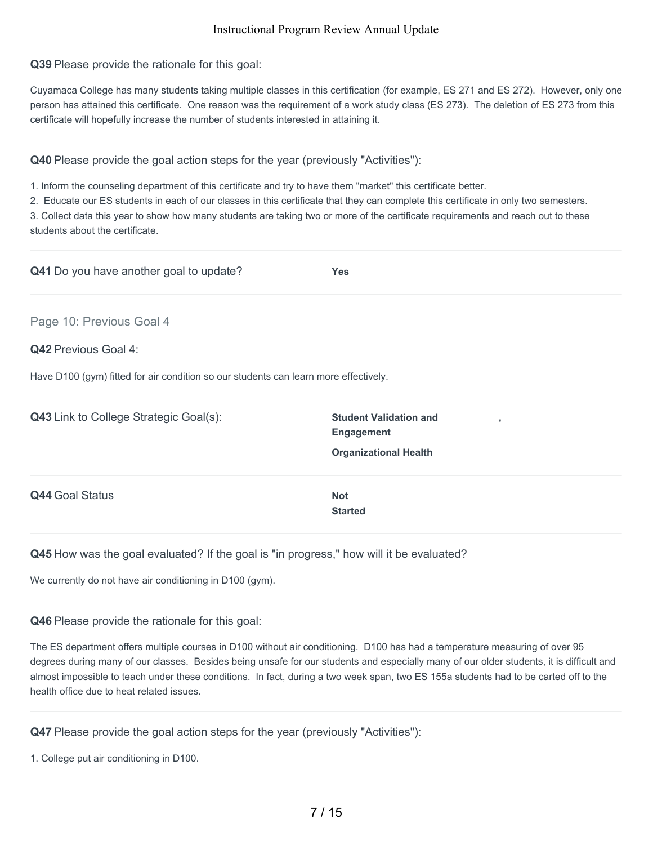**Q39** Please provide the rationale for this goal:

Cuyamaca College has many students taking multiple classes in this certification (for example, ES 271 and ES 272). However, only one person has attained this certificate. One reason was the requirement of a work study class (ES 273). The deletion of ES 273 from this certificate will hopefully increase the number of students interested in attaining it.

**Q40** Please provide the goal action steps for the year (previously "Activities"):

1. Inform the counseling department of this certificate and try to have them "market" this certificate better.

2. Educate our ES students in each of our classes in this certificate that they can complete this certificate in only two semesters.

3. Collect data this year to show how many students are taking two or more of the certificate requirements and reach out to these students about the certificate.

| <b>Q41</b> Do you have another goal to update?                                       | <b>Yes</b>                                                                     |
|--------------------------------------------------------------------------------------|--------------------------------------------------------------------------------|
| Page 10: Previous Goal 4                                                             |                                                                                |
| <b>Q42 Previous Goal 4:</b>                                                          |                                                                                |
| Have D100 (gym) fitted for air condition so our students can learn more effectively. |                                                                                |
| Q43 Link to College Strategic Goal(s):                                               | <b>Student Validation and</b><br>$\overline{\phantom{a}}$<br><b>Engagement</b> |
|                                                                                      | <b>Organizational Health</b>                                                   |
| <b>Q44 Goal Status</b>                                                               | <b>Not</b>                                                                     |
|                                                                                      | <b>Started</b>                                                                 |

## **Q45** How was the goal evaluated? If the goal is "in progress," how will it be evaluated?

We currently do not have air conditioning in D100 (gym).

#### **Q46** Please provide the rationale for this goal:

The ES department offers multiple courses in D100 without air conditioning. D100 has had a temperature measuring of over 95 degrees during many of our classes. Besides being unsafe for our students and especially many of our older students, it is difficult and almost impossible to teach under these conditions. In fact, during a two week span, two ES 155a students had to be carted off to the health office due to heat related issues.

## **Q47** Please provide the goal action steps for the year (previously "Activities"):

1. College put air conditioning in D100.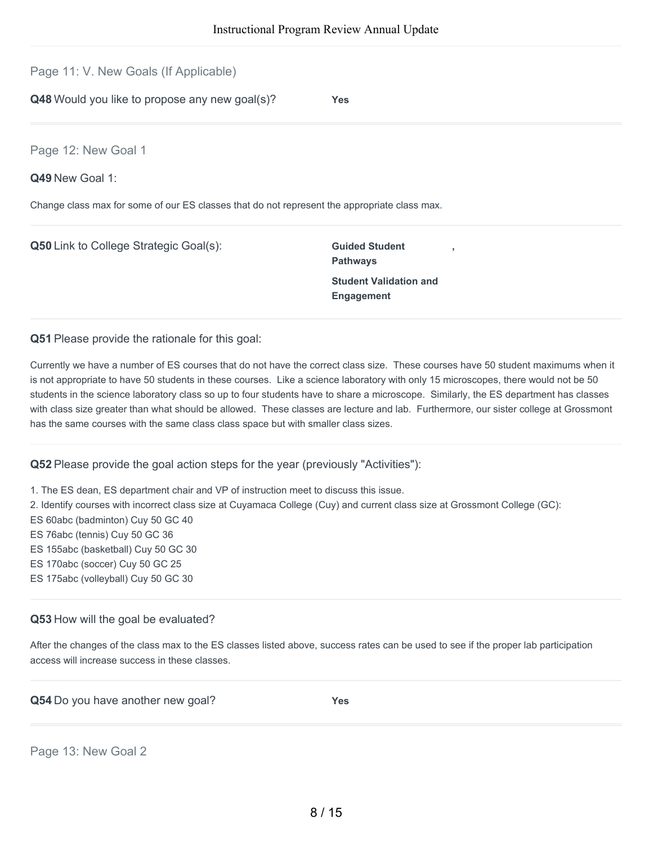Page 11: V. New Goals (If Applicable)

**Q48** Would you like to propose any new goal(s)? **Yes**

Page 12: New Goal 1

**Q49** New Goal 1:

Change class max for some of our ES classes that do not represent the appropriate class max.

**Q50** Link to College Strategic Goal(s): **Guided Student Pathways Student Validation and Engagement**

**Q51** Please provide the rationale for this goal:

Currently we have a number of ES courses that do not have the correct class size. These courses have 50 student maximums when it is not appropriate to have 50 students in these courses. Like a science laboratory with only 15 microscopes, there would not be 50 students in the science laboratory class so up to four students have to share a microscope. Similarly, the ES department has classes with class size greater than what should be allowed. These classes are lecture and lab. Furthermore, our sister college at Grossmont has the same courses with the same class class space but with smaller class sizes.

**,**

**Q52** Please provide the goal action steps for the year (previously "Activities"):

1. The ES dean, ES department chair and VP of instruction meet to discuss this issue.

2. Identify courses with incorrect class size at Cuyamaca College (Cuy) and current class size at Grossmont College (GC):

ES 60abc (badminton) Cuy 50 GC 40

ES 76abc (tennis) Cuy 50 GC 36

ES 155abc (basketball) Cuy 50 GC 30

ES 170abc (soccer) Cuy 50 GC 25

ES 175abc (volleyball) Cuy 50 GC 30

#### **Q53** How will the goal be evaluated?

After the changes of the class max to the ES classes listed above, success rates can be used to see if the proper lab participation access will increase success in these classes.

|  | Q54 Do you have another new goal? | <b>Yes</b> |
|--|-----------------------------------|------------|
|--|-----------------------------------|------------|

Page 13: New Goal 2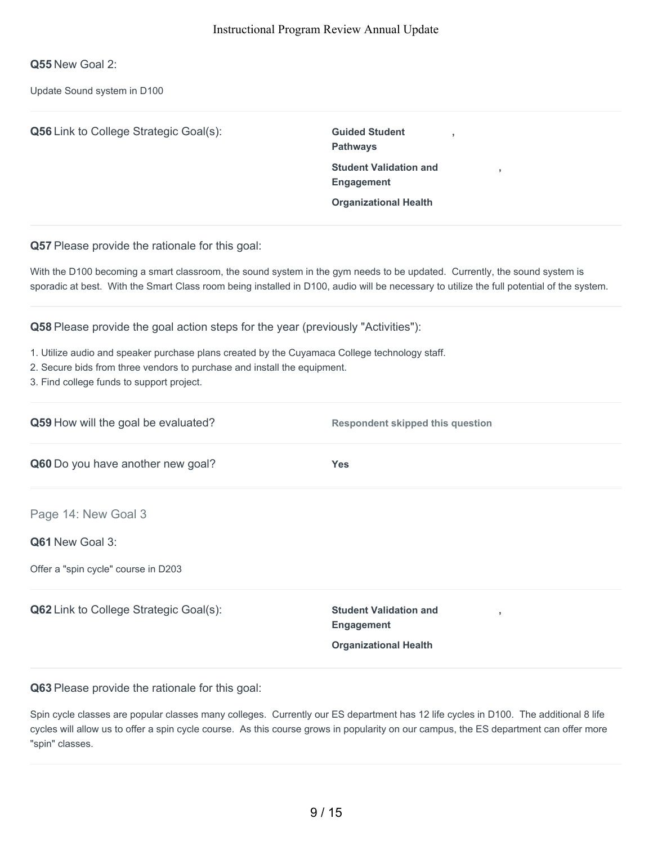**Q55** New Goal 2:

Update Sound system in D100

| Q56 Link to College Strategic Goal(s):                                                                                                                                                                                                                                                                     | <b>Guided Student</b><br><b>Pathways</b><br><b>Student Validation and</b><br>Engagement<br><b>Organizational Health</b> |  |
|------------------------------------------------------------------------------------------------------------------------------------------------------------------------------------------------------------------------------------------------------------------------------------------------------------|-------------------------------------------------------------------------------------------------------------------------|--|
| Q57 Please provide the rationale for this goal:                                                                                                                                                                                                                                                            |                                                                                                                         |  |
| With the D100 becoming a smart classroom, the sound system in the gym needs to be updated. Currently, the sound system is<br>sporadic at best. With the Smart Class room being installed in D100, audio will be necessary to utilize the full potential of the system.                                     |                                                                                                                         |  |
| Q58 Please provide the goal action steps for the year (previously "Activities"):<br>1. Utilize audio and speaker purchase plans created by the Cuyamaca College technology staff.<br>2. Secure bids from three vendors to purchase and install the equipment.<br>3. Find college funds to support project. |                                                                                                                         |  |
| Q59 How will the goal be evaluated?                                                                                                                                                                                                                                                                        | <b>Respondent skipped this question</b>                                                                                 |  |
| Q60 Do you have another new goal?                                                                                                                                                                                                                                                                          | <b>Yes</b>                                                                                                              |  |
| Page 14: New Goal 3                                                                                                                                                                                                                                                                                        |                                                                                                                         |  |
| Q61 New Goal 3:                                                                                                                                                                                                                                                                                            |                                                                                                                         |  |
| Offer a "spin cycle" course in D203                                                                                                                                                                                                                                                                        |                                                                                                                         |  |
| Q62 Link to College Strategic Goal(s):                                                                                                                                                                                                                                                                     | <b>Student Validation and</b><br><b>Engagement</b><br><b>Organizational Health</b>                                      |  |

**Q63** Please provide the rationale for this goal:

Spin cycle classes are popular classes many colleges. Currently our ES department has 12 life cycles in D100. The additional 8 life cycles will allow us to offer a spin cycle course. As this course grows in popularity on our campus, the ES department can offer more "spin" classes.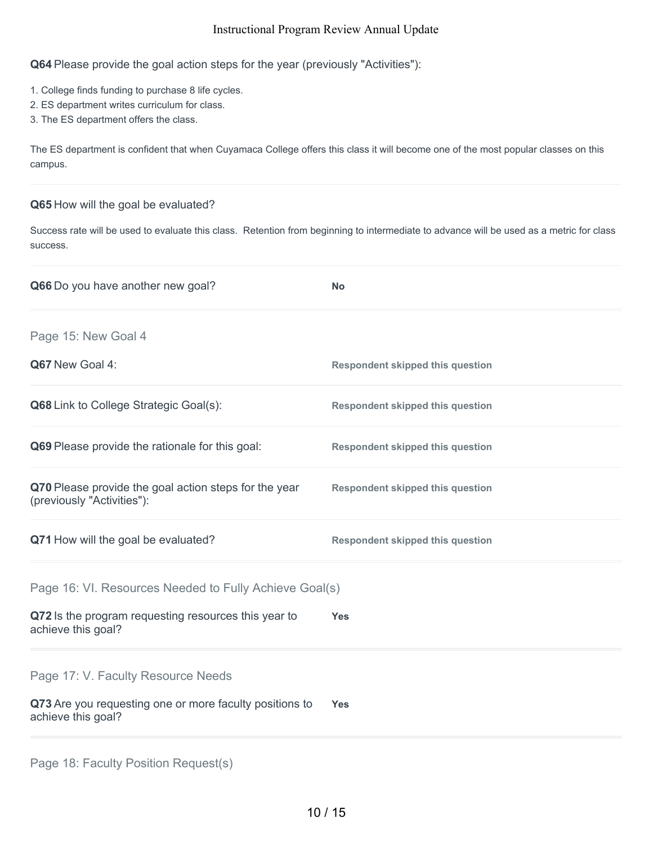**Q64** Please provide the goal action steps for the year (previously "Activities"):

- 1. College finds funding to purchase 8 life cycles.
- 2. ES department writes curriculum for class.
- 3. The ES department offers the class.

The ES department is confident that when Cuyamaca College offers this class it will become one of the most popular classes on this campus.

#### **Q65** How will the goal be evaluated?

Success rate will be used to evaluate this class. Retention from beginning to intermediate to advance will be used as a metric for class success.

| Q66 Do you have another new goal?                                                   | <b>No</b>                               |
|-------------------------------------------------------------------------------------|-----------------------------------------|
| Page 15: New Goal 4                                                                 |                                         |
| Q67 New Goal 4:                                                                     | <b>Respondent skipped this question</b> |
| <b>Q68</b> Link to College Strategic Goal(s):                                       | <b>Respondent skipped this question</b> |
| Q69 Please provide the rationale for this goal:                                     | <b>Respondent skipped this question</b> |
| Q70 Please provide the goal action steps for the year<br>(previously "Activities"): | <b>Respondent skipped this question</b> |
| Q71 How will the goal be evaluated?                                                 | <b>Respondent skipped this question</b> |
| Page 16: VI. Resources Needed to Fully Achieve Goal(s)                              |                                         |
| Q72 Is the program requesting resources this year to<br>achieve this goal?          | <b>Yes</b>                              |
| Page 17: V. Faculty Resource Needs                                                  |                                         |
| Q73 Are you requesting one or more faculty positions to<br>achieve this goal?       | <b>Yes</b>                              |
|                                                                                     |                                         |

| Page 18: Faculty Position Request(s) |
|--------------------------------------|
|--------------------------------------|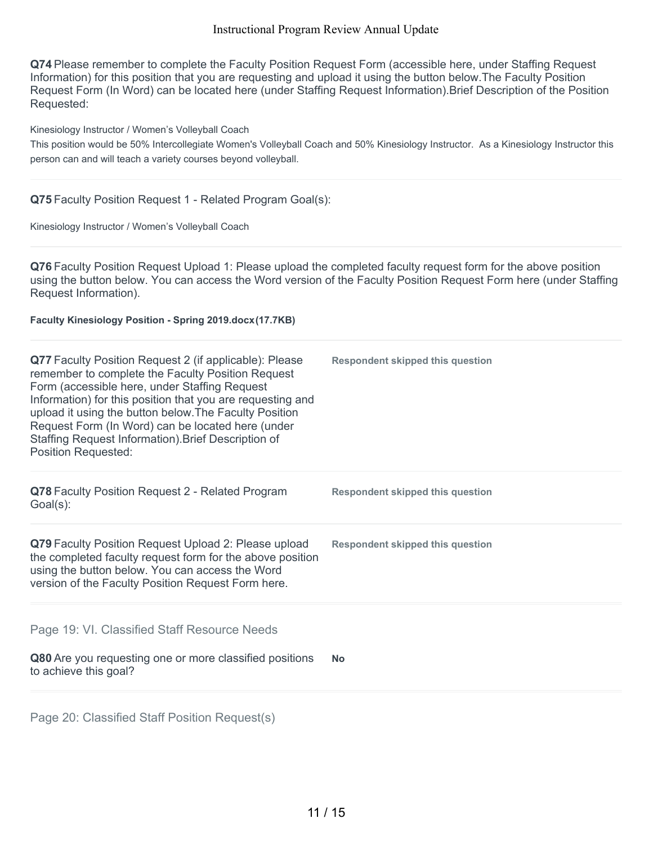**Q74** Please remember to complete the Faculty Position Request Form (accessible here, under Staffing Request Information) for this position that you are requesting and upload it using the button below.The Faculty Position Request Form (In Word) can be located here (under Staffing Request Information).Brief Description of the Position Requested:

Kinesiology Instructor / Women's Volleyball Coach

This position would be 50% Intercollegiate Women's Volleyball Coach and 50% Kinesiology Instructor. As a Kinesiology Instructor this person can and will teach a variety courses beyond volleyball.

#### **Q75** Faculty Position Request 1 - Related Program Goal(s):

Kinesiology Instructor / Women's Volleyball Coach

**Q76** Faculty Position Request Upload 1: Please upload the completed faculty request form for the above position using the button below. You can access the Word version of the Faculty Position Request Form here (under Staffing Request Information).

**Faculty Kinesiology Position - Spring 2019.docx(17.7KB)**

| Q77 Faculty Position Request 2 (if applicable): Please<br>remember to complete the Faculty Position Request<br>Form (accessible here, under Staffing Request<br>Information) for this position that you are requesting and<br>upload it using the button below. The Faculty Position<br>Request Form (In Word) can be located here (under<br>Staffing Request Information). Brief Description of<br><b>Position Requested:</b> | <b>Respondent skipped this question</b> |
|--------------------------------------------------------------------------------------------------------------------------------------------------------------------------------------------------------------------------------------------------------------------------------------------------------------------------------------------------------------------------------------------------------------------------------|-----------------------------------------|
| Q78 Faculty Position Request 2 - Related Program<br>Goal(s):                                                                                                                                                                                                                                                                                                                                                                   | <b>Respondent skipped this question</b> |
| Q79 Faculty Position Request Upload 2: Please upload<br>the completed faculty request form for the above position<br>using the button below. You can access the Word<br>version of the Faculty Position Request Form here.                                                                                                                                                                                                     | <b>Respondent skipped this question</b> |
| Page 19: VI. Classified Staff Resource Needs                                                                                                                                                                                                                                                                                                                                                                                   |                                         |
| Q80 Are you requesting one or more classified positions<br>to achieve this goal?                                                                                                                                                                                                                                                                                                                                               | <b>No</b>                               |
| Page 20: Classified Staff Position Request(s)                                                                                                                                                                                                                                                                                                                                                                                  |                                         |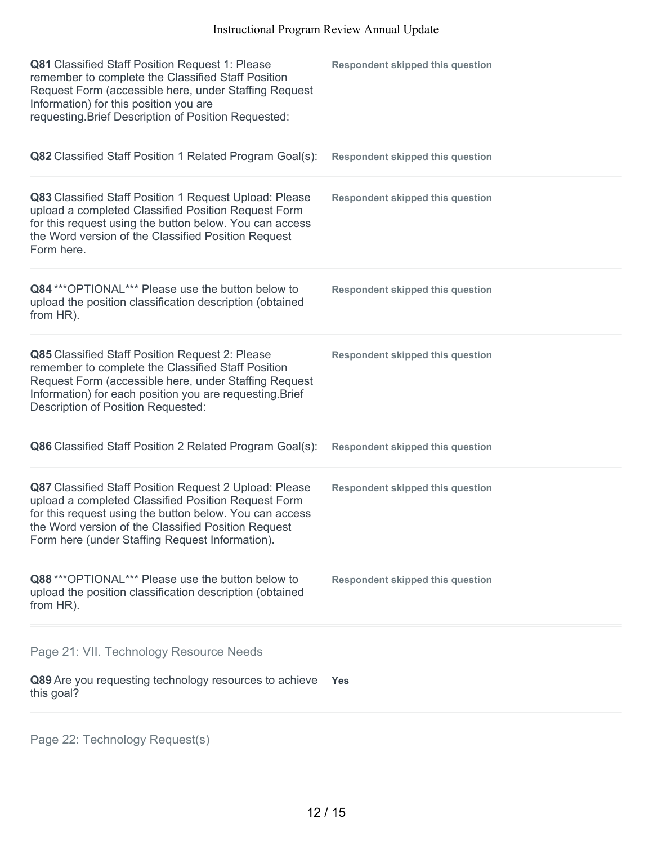| Q81 Classified Staff Position Request 1: Please<br>remember to complete the Classified Staff Position<br>Request Form (accessible here, under Staffing Request<br>Information) for this position you are<br>requesting. Brief Description of Position Requested:                   | <b>Respondent skipped this question</b> |
|------------------------------------------------------------------------------------------------------------------------------------------------------------------------------------------------------------------------------------------------------------------------------------|-----------------------------------------|
| Q82 Classified Staff Position 1 Related Program Goal(s):                                                                                                                                                                                                                           | <b>Respondent skipped this question</b> |
| Q83 Classified Staff Position 1 Request Upload: Please<br>upload a completed Classified Position Request Form<br>for this request using the button below. You can access<br>the Word version of the Classified Position Request<br>Form here.                                      | <b>Respondent skipped this question</b> |
| Q84 *** OPTIONAL*** Please use the button below to<br>upload the position classification description (obtained<br>from HR).                                                                                                                                                        | <b>Respondent skipped this question</b> |
| Q85 Classified Staff Position Request 2: Please<br>remember to complete the Classified Staff Position<br>Request Form (accessible here, under Staffing Request<br>Information) for each position you are requesting. Brief<br>Description of Position Requested:                   | <b>Respondent skipped this question</b> |
| Q86 Classified Staff Position 2 Related Program Goal(s):                                                                                                                                                                                                                           | <b>Respondent skipped this question</b> |
| Q87 Classified Staff Position Request 2 Upload: Please<br>upload a completed Classified Position Request Form<br>for this request using the button below. You can access<br>the Word version of the Classified Position Request<br>Form here (under Staffing Request Information). | <b>Respondent skipped this question</b> |
| Q88 *** OPTIONAL*** Please use the button below to<br>upload the position classification description (obtained<br>from HR).                                                                                                                                                        | <b>Respondent skipped this question</b> |
| Page 21: VII. Technology Resource Needs                                                                                                                                                                                                                                            |                                         |
| Q89 Are you requesting technology resources to achieve<br>this goal?                                                                                                                                                                                                               | <b>Yes</b>                              |
|                                                                                                                                                                                                                                                                                    |                                         |

Page 22: Technology Request(s)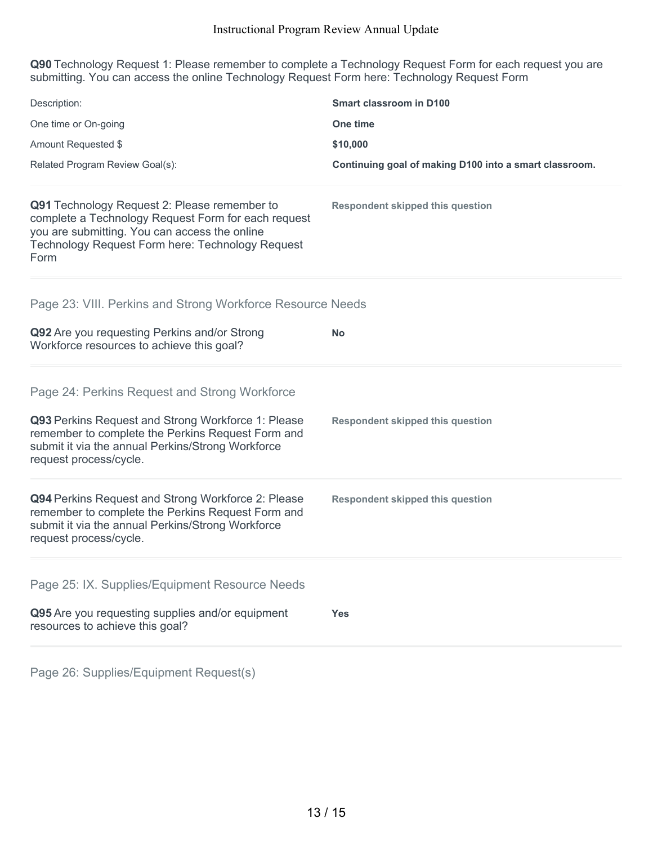**Q90** Technology Request 1: Please remember to complete a Technology Request Form for each request you are submitting. You can access the online Technology Request Form here: Technology Request Form

| Description:                                                                                                                                                                                                     | <b>Smart classroom in D100</b>                         |
|------------------------------------------------------------------------------------------------------------------------------------------------------------------------------------------------------------------|--------------------------------------------------------|
| One time or On-going                                                                                                                                                                                             | One time                                               |
| Amount Requested \$                                                                                                                                                                                              | \$10,000                                               |
| Related Program Review Goal(s):                                                                                                                                                                                  | Continuing goal of making D100 into a smart classroom. |
| Q91 Technology Request 2: Please remember to<br>complete a Technology Request Form for each request<br>you are submitting. You can access the online<br>Technology Request Form here: Technology Request<br>Form | <b>Respondent skipped this question</b>                |
| Page 23: VIII. Perkins and Strong Workforce Resource Needs                                                                                                                                                       |                                                        |
| Q92 Are you requesting Perkins and/or Strong<br>Workforce resources to achieve this goal?                                                                                                                        | <b>No</b>                                              |
| Page 24: Perkins Request and Strong Workforce                                                                                                                                                                    |                                                        |
| Q93 Perkins Request and Strong Workforce 1: Please<br>remember to complete the Perkins Request Form and<br>submit it via the annual Perkins/Strong Workforce<br>request process/cycle.                           | <b>Respondent skipped this question</b>                |
| Q94 Perkins Request and Strong Workforce 2: Please<br>remember to complete the Perkins Request Form and<br>submit it via the annual Perkins/Strong Workforce<br>request process/cycle.                           | <b>Respondent skipped this question</b>                |
| Page 25: IX. Supplies/Equipment Resource Needs                                                                                                                                                                   |                                                        |
| Q95 Are you requesting supplies and/or equipment<br>resources to achieve this goal?                                                                                                                              | <b>Yes</b>                                             |
|                                                                                                                                                                                                                  |                                                        |

Page 26: Supplies/Equipment Request(s)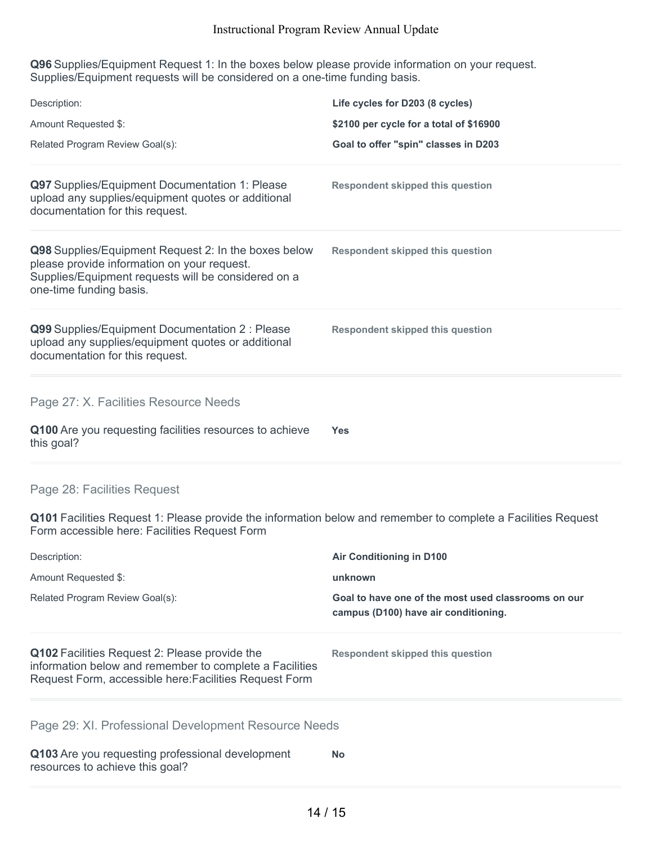**Q96** Supplies/Equipment Request 1: In the boxes below please provide information on your request. Supplies/Equipment requests will be considered on a one-time funding basis.

| Description:                                                                                                                                                                          | Life cycles for D203 (8 cycles)                                                             |
|---------------------------------------------------------------------------------------------------------------------------------------------------------------------------------------|---------------------------------------------------------------------------------------------|
| Amount Requested \$:                                                                                                                                                                  | \$2100 per cycle for a total of \$16900                                                     |
| Related Program Review Goal(s):                                                                                                                                                       | Goal to offer "spin" classes in D203                                                        |
| Q97 Supplies/Equipment Documentation 1: Please<br>upload any supplies/equipment quotes or additional<br>documentation for this request.                                               | <b>Respondent skipped this question</b>                                                     |
| Q98 Supplies/Equipment Request 2: In the boxes below<br>please provide information on your request.<br>Supplies/Equipment requests will be considered on a<br>one-time funding basis. | <b>Respondent skipped this question</b>                                                     |
| Q99 Supplies/Equipment Documentation 2 : Please<br>upload any supplies/equipment quotes or additional<br>documentation for this request.                                              | <b>Respondent skipped this question</b>                                                     |
| Page 27: X. Facilities Resource Needs                                                                                                                                                 |                                                                                             |
| Q100 Are you requesting facilities resources to achieve<br>this goal?                                                                                                                 | Yes                                                                                         |
| Page 28: Facilities Request                                                                                                                                                           |                                                                                             |
| Q101 Facilities Request 1: Please provide the information below and remember to complete a Facilities Request<br>Form accessible here: Facilities Request Form                        |                                                                                             |
| Description:                                                                                                                                                                          | <b>Air Conditioning in D100</b>                                                             |
| Amount Requested \$:                                                                                                                                                                  | unknown                                                                                     |
| Related Program Review Goal(s):                                                                                                                                                       | Goal to have one of the most used classrooms on our<br>campus (D100) have air conditioning. |
| Q102 Facilities Request 2: Please provide the<br>information below and remember to complete a Facilities<br>Request Form, accessible here: Facilities Request Form                    | <b>Respondent skipped this question</b>                                                     |
| Page 29: XI. Professional Development Resource Needs                                                                                                                                  |                                                                                             |
| Q103 Are you requesting professional development<br>resources to achieve this goal?                                                                                                   | <b>No</b>                                                                                   |